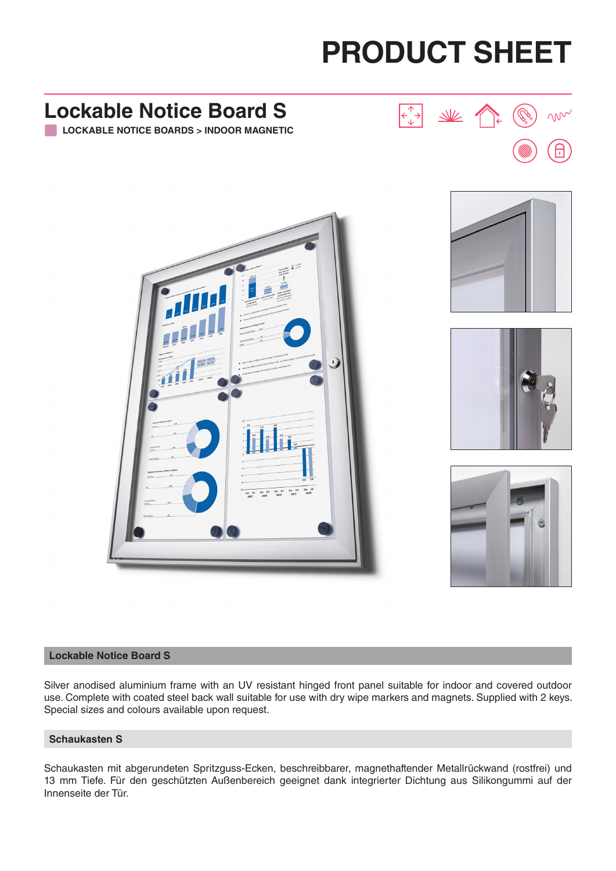# **PRODUCT SHEET**

# **Lockable Notice Board S** m **LOCKABLE NOTICE BOARDS > INDOOR MAGNETIC**

#### **Lockable Notice Board S**

Silver anodised aluminium frame with an UV resistant hinged front panel suitable for indoor and covered outdoor use. Complete with coated steel back wall suitable for use with dry wipe markers and magnets. Supplied with 2 keys. Special sizes and colours available upon request.

#### **Schaukasten S**

Schaukasten mit abgerundeten Spritzguss-Ecken, beschreibbarer, magnethaftender Metallrückwand (rostfrei) und 13 mm Tiefe. Für den geschützten Außenbereich geeignet dank integrierter Dichtung aus Silikongummi auf der Innenseite der Tür.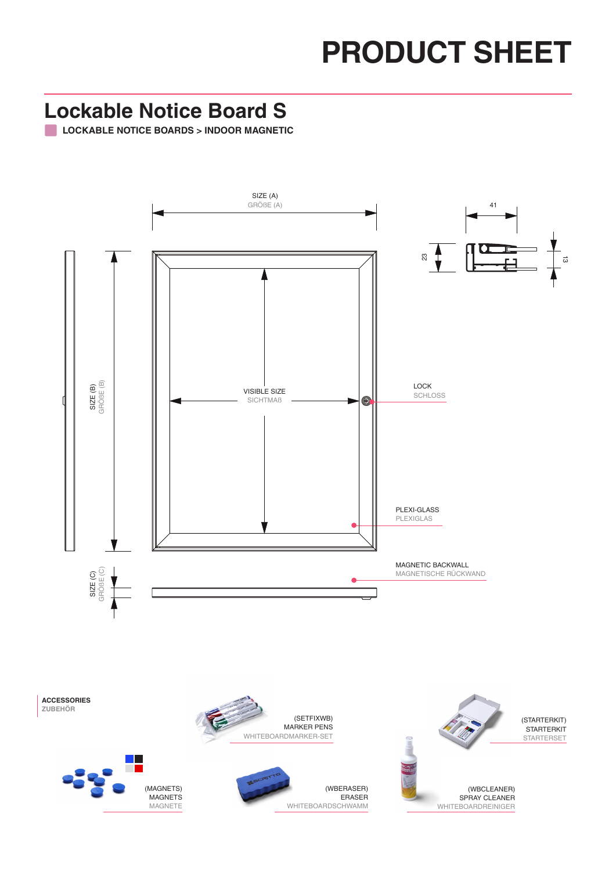## **PRODUCT SHEET**

#### **Lockable Notice Board S**

**LOCKABLE NOTICE BOARDS > INDOOR MAGNETIC**